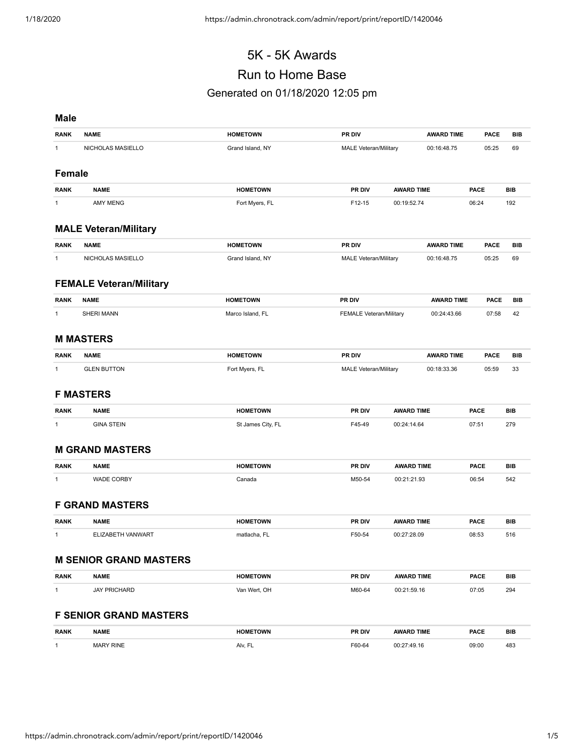# 5K - 5K Awards Run to Home Base

## Generated on 01/18/2020 12:05 pm

| <b>Male</b>   |                                |                   |                                |                   |             |            |
|---------------|--------------------------------|-------------------|--------------------------------|-------------------|-------------|------------|
| <b>RANK</b>   | <b>NAME</b>                    | <b>HOMETOWN</b>   | PR DIV                         | <b>AWARD TIME</b> | <b>PACE</b> | <b>BIB</b> |
| 1             | NICHOLAS MASIELLO              | Grand Island, NY  | <b>MALE Veteran/Military</b>   | 00:16:48.75       | 05:25       | 69         |
| <b>Female</b> |                                |                   |                                |                   |             |            |
| <b>RANK</b>   | <b>NAME</b>                    | <b>HOMETOWN</b>   | PR DIV<br><b>AWARD TIME</b>    |                   | <b>PACE</b> | BIB        |
| $\mathbf{1}$  | <b>AMY MENG</b>                | Fort Myers, FL    | F12-15<br>00:19:52.74          |                   | 06:24       | 192        |
|               | <b>MALE Veteran/Military</b>   |                   |                                |                   |             |            |
| <b>RANK</b>   | <b>NAME</b>                    | <b>HOMETOWN</b>   | PR DIV                         | <b>AWARD TIME</b> | <b>PACE</b> | <b>BIB</b> |
| $\mathbf{1}$  | NICHOLAS MASIELLO              | Grand Island, NY  | <b>MALE Veteran/Military</b>   | 00:16:48.75       | 05:25       | 69         |
|               | <b>FEMALE Veteran/Military</b> |                   |                                |                   |             |            |
| <b>RANK</b>   | <b>NAME</b>                    | <b>HOMETOWN</b>   | PR DIV                         | <b>AWARD TIME</b> | <b>PACE</b> | <b>BIB</b> |
| 1             | <b>SHERI MANN</b>              | Marco Island, FL  | <b>FEMALE Veteran/Military</b> | 00:24:43.66       | 07:58       | 42         |
|               | <b>M MASTERS</b>               |                   |                                |                   |             |            |
| <b>RANK</b>   | <b>NAME</b>                    | <b>HOMETOWN</b>   | PR DIV                         | <b>AWARD TIME</b> | <b>PACE</b> | <b>BIB</b> |
| 1             | <b>GLEN BUTTON</b>             | Fort Myers, FL    | <b>MALE Veteran/Military</b>   | 00:18:33.36       | 05:59       | 33         |
|               | <b>F MASTERS</b>               |                   |                                |                   |             |            |
| <b>RANK</b>   | <b>NAME</b>                    | <b>HOMETOWN</b>   | PR DIV<br><b>AWARD TIME</b>    |                   | <b>PACE</b> | BIB        |
| $\mathbf{1}$  | <b>GINA STEIN</b>              | St James City, FL | F45-49<br>00:24:14.64          |                   | 07:51       | 279        |
|               | <b>M GRAND MASTERS</b>         |                   |                                |                   |             |            |
| <b>RANK</b>   | <b>NAME</b>                    | <b>HOMETOWN</b>   | <b>AWARD TIME</b><br>PR DIV    |                   | <b>PACE</b> | BIB        |
| 1             | WADE CORBY                     | Canada            | M50-54<br>00:21:21.93          |                   | 06:54       | 542        |
|               | <b>F GRAND MASTERS</b>         |                   |                                |                   |             |            |
| <b>RANK</b>   | <b>NAME</b>                    | <b>HOMETOWN</b>   | PR DIV<br><b>AWARD TIME</b>    |                   | <b>PACE</b> | BIB        |
| 1             | ELIZABETH VANWART              | matlacha, FL      | F50-54<br>00:27:28.09          |                   | 08:53       | 516        |
|               | <b>M SENIOR GRAND MASTERS</b>  |                   |                                |                   |             |            |
| <b>RANK</b>   | <b>NAME</b>                    | <b>HOMETOWN</b>   | PR DIV<br><b>AWARD TIME</b>    |                   | <b>PACE</b> | BIB        |
| 1             | <b>JAY PRICHARD</b>            | Van Wert, OH      | M60-64<br>00:21:59.16          |                   | 07:05       | 294        |
|               | <b>F SENIOR GRAND MASTERS</b>  |                   |                                |                   |             |            |
| <b>RANK</b>   | <b>NAME</b>                    | <b>HOMETOWN</b>   | PR DIV<br><b>AWARD TIME</b>    |                   | <b>PACE</b> | BIB        |
| 1             | <b>MARY RINE</b>               | Alv, FL           | F60-64<br>00:27:49.16          |                   | 09:00       | 483        |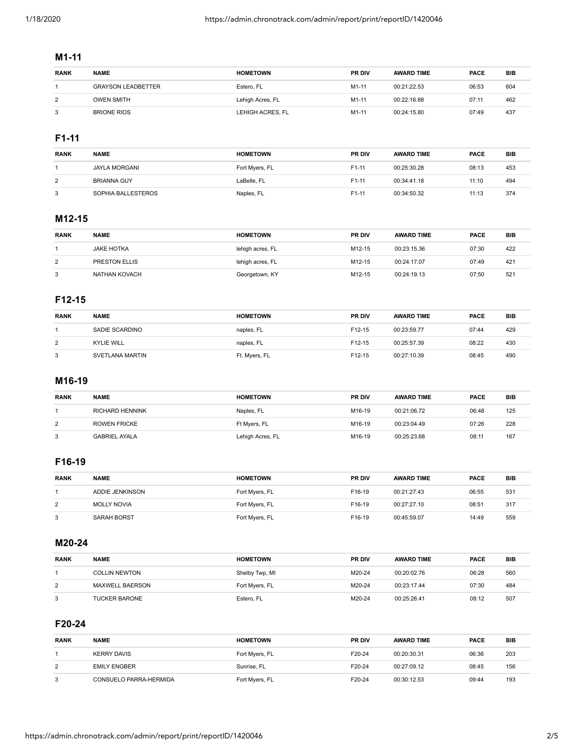## **M1-11**

| <b>RANK</b> | <b>NAME</b>               | <b>HOMETOWN</b>  | <b>PR DIV</b> | <b>AWARD TIME</b> | <b>PACE</b> | BIB |
|-------------|---------------------------|------------------|---------------|-------------------|-------------|-----|
|             | <b>GRAYSON LEADBETTER</b> | Estero, FL       | M1-11         | 00:21:22.53       | 06:53       | 604 |
| 2           | OWEN SMITH                | Lehigh Acres, FL | M1-11         | 00:22:16.88       | 07:11       | 462 |
| 3           | <b>BRIONE RIOS</b>        | LEHIGH ACRES. FL | M1-11         | 00:24:15.80       | 07:49       | 437 |

## **F1-11**

| <b>RANK</b> | <b>NAME</b>          | <b>HOMETOWN</b> | <b>PR DIV</b> | <b>AWARD TIME</b> | <b>PACE</b> | BIB |
|-------------|----------------------|-----------------|---------------|-------------------|-------------|-----|
|             | <b>JAYLA MORGANI</b> | Fort Myers, FL  | F1-11         | 00:25:30.28       | 08:13       | 453 |
| 2           | <b>BRIANNA GUY</b>   | LaBelle, FL     | $F1-11$       | 00:34:41.18       | 11:10       | 494 |
|             | SOPHIA BALLESTEROS   | Naples, FL      | F1-11         | 00:34:50.32       | 11:13       | 374 |

## **M12-15**

| <b>RANK</b> | <b>NAME</b>          | <b>HOMETOWN</b>  | <b>PR DIV</b> | <b>AWARD TIME</b> | <b>PACE</b> | BIB |
|-------------|----------------------|------------------|---------------|-------------------|-------------|-----|
|             | <b>JAKE HOTKA</b>    | lehigh acres, FL | M12-15        | 00:23:15.36       | 07:30       | 422 |
| 2           | <b>PRESTON ELLIS</b> | lehigh acres, FL | M12-15        | 00:24:17.07       | 07:49       | 421 |
| 3           | NATHAN KOVACH        | Georgetown, KY   | M12-15        | 00:24:19.13       | 07:50       | 521 |

## **F12-15**

| <b>RANK</b> | <b>NAME</b>       | <b>HOMETOWN</b> | <b>PR DIV</b>      | <b>AWARD TIME</b> | <b>PACE</b> | <b>BIB</b> |
|-------------|-------------------|-----------------|--------------------|-------------------|-------------|------------|
|             | SADIE SCARDINO    | naples, FL      | F <sub>12-15</sub> | 00:23:59.77       | 07:44       | 429        |
| 2           | <b>KYLIE WILL</b> | naples, FL      | F12-15             | 00:25:57.39       | 08:22       | 430        |
| 3           | SVETLANA MARTIN   | Ft. Myers, FL   | F12-15             | 00:27:10.39       | 08:45       | 490        |

## **M16-19**

| <b>RANK</b> | <b>NAME</b>          | <b>HOMETOWN</b>  | <b>PR DIV</b> | <b>AWARD TIME</b> | <b>PACE</b> | BIB |
|-------------|----------------------|------------------|---------------|-------------------|-------------|-----|
|             | RICHARD HENNINK      | Naples, FL       | M16-19        | 00:21:06.72       | 06:48       | 125 |
| 2           | ROWEN FRICKE         | Ft Myers, FL     | M16-19        | 00:23:04.49       | 07:26       | 228 |
| 3           | <b>GABRIEL AYALA</b> | Lehigh Acres, FL | M16-19        | 00:25:23.68       | 08:1'       | 167 |

## **F16-19**

| <b>RANK</b> | <b>NAME</b>        | <b>HOMETOWN</b> | <b>PR DIV</b>      | <b>AWARD TIME</b> | <b>PACE</b> | BIB |
|-------------|--------------------|-----------------|--------------------|-------------------|-------------|-----|
|             | ADDIE JENKINSON    | Fort Myers, FL  | F16-19             | 00:21:27.43       | 06:55       | 531 |
| 2           | <b>MOLLY NOVIA</b> | Fort Myers, FL  | F16-19             | 00:27:27.10       | 08:51       | 317 |
| 3           | <b>SARAH BORST</b> | Fort Myers, FL  | F <sub>16-19</sub> | 00:45:59.07       | 14:49       | 559 |

#### **M20-24**

| <b>RANK</b> | <b>NAME</b>          | <b>HOMETOWN</b> | <b>PR DIV</b> | <b>AWARD TIME</b> | <b>PACE</b> | BIB |
|-------------|----------------------|-----------------|---------------|-------------------|-------------|-----|
|             | <b>COLLIN NEWTON</b> | Shelby Twp, MI  | M20-24        | 00:20:02.76       | 06:28       | 560 |
| 2           | MAXWELL BAERSON      | Fort Myers, FL  | M20-24        | 00:23:17.44       | 07:30       | 484 |
| 3           | <b>TUCKER BARONE</b> | Estero, FL      | M20-24        | 00:25:26.41       | 08:12       | 507 |

## **F20-24**

| <b>RANK</b> | <b>NAME</b>            | <b>HOMETOWN</b> | <b>PR DIV</b> | <b>AWARD TIME</b> | <b>PACE</b> | <b>BIB</b> |
|-------------|------------------------|-----------------|---------------|-------------------|-------------|------------|
|             | <b>KERRY DAVIS</b>     | Fort Myers, FL  | F20-24        | 00:20:30.31       | 06:36       | 203        |
| 2           | <b>EMILY ENGBER</b>    | Sunrise, FL     | F20-24        | 00:27:09.12       | 08:45       | 156        |
| 3           | CONSUELO PARRA-HERMIDA | Fort Myers, FL  | F20-24        | 00:30:12.53       | 09:44       | 193        |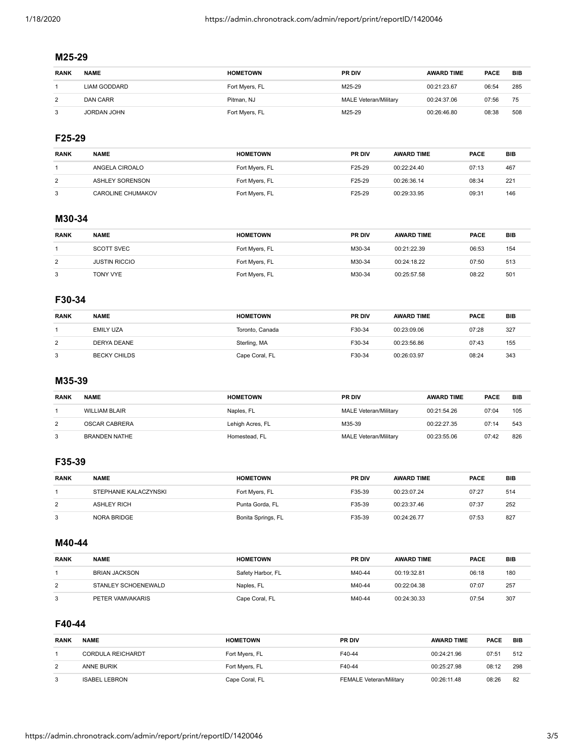#### **M25-29**

| <b>RANK</b> | <b>NAME</b>         | <b>HOMETOWN</b> | <b>PR DIV</b>                | <b>AWARD TIME</b> | <b>PACE</b> | BIB |
|-------------|---------------------|-----------------|------------------------------|-------------------|-------------|-----|
|             | <b>LIAM GODDARD</b> | Fort Myers, FL  | M25-29                       | 00:21:23.67       | 06:54       | 285 |
| 2           | <b>DAN CARR</b>     | Pitman, NJ      | <b>MALE Veteran/Military</b> | 00:24:37.06       | 07:56       | 75  |
|             | JORDAN JOHN         | Fort Myers, FL  | M25-29                       | 00:26:46.80       | 08:38       | 508 |

## **F25-29**

| <b>RANK</b>    | <b>NAME</b>              | <b>HOMETOWN</b> | <b>PR DIV</b> | <b>AWARD TIME</b> | <b>PACE</b> | <b>BIB</b> |
|----------------|--------------------------|-----------------|---------------|-------------------|-------------|------------|
|                | ANGELA CIROALO           | Fort Myers, FL  | F25-29        | 00:22:24.40       | 07:13       | 467        |
| $\overline{2}$ | ASHLEY SORENSON          | Fort Myers, FL  | F25-29        | 00:26:36.14       | 08:34       | 221        |
|                | <b>CAROLINE CHUMAKOV</b> | Fort Myers, FL  | F25-29        | 00:29:33.95       | 09:31       | 146        |

## **M30-34**

| <b>RANK</b> | <b>NAME</b>          | <b>HOMETOWN</b> | <b>PR DIV</b> | <b>AWARD TIME</b> | <b>PACE</b> | BIB |
|-------------|----------------------|-----------------|---------------|-------------------|-------------|-----|
|             | SCOTT SVEC           | Fort Myers, FL  | M30-34        | 00:21:22.39       | 06:53       | 154 |
| 2           | <b>JUSTIN RICCIO</b> | Fort Myers, FL  | M30-34        | 00:24:18.22       | 07:50       | 513 |
| 3           | <b>TONY VYE</b>      | Fort Myers, FL  | M30-34        | 00:25:57.58       | 08:22       | 501 |

## **F30-34**

| <b>RANK</b> | <b>NAME</b>         | <b>HOMETOWN</b> | <b>PR DIV</b> | <b>AWARD TIME</b> | <b>PACE</b> | <b>BIB</b> |
|-------------|---------------------|-----------------|---------------|-------------------|-------------|------------|
|             | EMILY UZA           | Toronto, Canada | F30-34        | 00:23:09.06       | 07:28       | 327        |
| 2           | DERYA DEANE         | Sterling, MA    | F30-34        | 00:23:56.86       | 07:43       | 155        |
| 3           | <b>BECKY CHILDS</b> | Cape Coral, FL  | F30-34        | 00:26:03.97       | 08:24       | 343        |

## **M35-39**

| <b>RANK</b>    | <b>NAME</b>          | <b>HOMETOWN</b>  | <b>PR DIV</b>                | <b>AWARD TIME</b> | <b>PACE</b> | BIB |
|----------------|----------------------|------------------|------------------------------|-------------------|-------------|-----|
|                | <b>WILLIAM BLAIR</b> | Naples, FL       | <b>MALE Veteran/Military</b> | 00:21:54.26       | 07:04       | 105 |
| $\overline{2}$ | OSCAR CABRERA        | Lehigh Acres, FL | M35-39                       | 00:22:27.35       | 07:14       | 543 |
|                | BRANDEN NATHE        | Homestead, FL    | <b>MALE Veteran/Military</b> | 00:23:55.06       | 07:42       | 826 |

## **F35-39**

| <b>RANK</b> | <b>NAME</b>           | <b>HOMETOWN</b>    | <b>PR DIV</b> | <b>AWARD TIME</b> | <b>PACE</b> | <b>BIB</b> |
|-------------|-----------------------|--------------------|---------------|-------------------|-------------|------------|
|             | STEPHANIE KALACZYNSKI | Fort Myers, FL     | F35-39        | 00:23:07.24       | 07:27       | 514        |
| 2           | <b>ASHLEY RICH</b>    | Punta Gorda, FL    | F35-39        | 00:23:37.46       | 07:37       | 252        |
| 3           | NORA BRIDGE           | Bonita Springs, FL | F35-39        | 00:24:26.77       | 07:53       | 827        |

## **M40-44**

| <b>RANK</b> | <b>NAME</b>          | <b>HOMETOWN</b>   | <b>PR DIV</b> | <b>AWARD TIME</b> | <b>PACE</b> | <b>BIB</b> |
|-------------|----------------------|-------------------|---------------|-------------------|-------------|------------|
|             | <b>BRIAN JACKSON</b> | Safety Harbor, FL | M40-44        | 00:19:32.81       | 06:18       | 180        |
| 2           | STANLEY SCHOENEWALD  | Naples, FL        | M40-44        | 00:22:04.38       | 07:07       | 257        |
| 3           | PETER VAMVAKARIS     | Cape Coral, FL    | M40-44        | 00:24:30.33       | 07:54       | 307        |

## **F40-44**

| RANK | <b>NAME</b>              | <b>HOMETOWN</b> | <b>PR DIV</b>                  | <b>AWARD TIME</b> | PACE  | <b>BIB</b> |
|------|--------------------------|-----------------|--------------------------------|-------------------|-------|------------|
|      | <b>CORDULA REICHARDT</b> | Fort Myers, FL  | F40-44                         | 00:24:21.96       | 07:51 | 512        |
| 2    | ANNE BURIK               | Fort Myers, FL  | F40-44                         | 00:25:27.98       | 08:12 | 298        |
| 3    | <b>ISABEL LEBRON</b>     | Cape Coral, FL  | <b>FEMALE Veteran/Military</b> | 00:26:11.48       | 08:26 | 82         |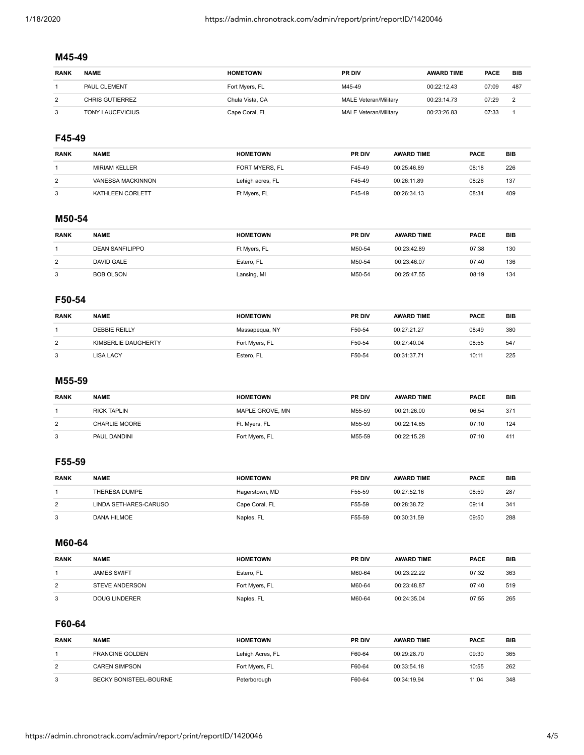#### **M45-49**

| <b>RANK</b> | <b>NAME</b>      | <b>HOMETOWN</b> | <b>PR DIV</b>                | <b>AWARD TIME</b> | <b>PACE</b> | <b>BIB</b> |
|-------------|------------------|-----------------|------------------------------|-------------------|-------------|------------|
|             | PAUL CLEMENT     | Fort Myers, FL  | M45-49                       | 00:22:12.43       | 07:09       | 487        |
|             | CHRIS GUTIERREZ  | Chula Vista. CA | <b>MALE Veteran/Military</b> | 00:23:14.73       | 07:29       | 2          |
|             | TONY LAUCEVICIUS | Cape Coral, FL  | <b>MALE Veteran/Military</b> | 00:23:26.83       | 07:33       |            |

## **F45-49**

| <b>RANK</b> | <b>NAME</b>          | <b>HOMETOWN</b>  | <b>PR DIV</b> | <b>AWARD TIME</b> | <b>PACE</b> | BIB |
|-------------|----------------------|------------------|---------------|-------------------|-------------|-----|
|             | <b>MIRIAM KELLER</b> | FORT MYERS, FL   | F45-49        | 00:25:46.89       | 08:18       | 226 |
| 2           | VANESSA MACKINNON    | Lehigh acres, FL | F45-49        | 00:26:11.89       | 08:26       | 137 |
| 3           | KATHLEEN CORLETT     | Ft Myers, FL     | F45-49        | 00:26:34.13       | 08:34       | 409 |

#### **M50-54**

| <b>RANK</b> | <b>NAME</b>            | <b>HOMETOWN</b> | <b>PR DIV</b> | <b>AWARD TIME</b> | <b>PACE</b> | BIB |
|-------------|------------------------|-----------------|---------------|-------------------|-------------|-----|
|             | <b>DEAN SANFILIPPO</b> | Ft Myers, FL    | M50-54        | 00:23:42.89       | 07:38       | 130 |
| 2           | DAVID GALE             | Estero, FL      | M50-54        | 00:23:46.07       | 07:40       | 136 |
| 3           | <b>BOB OLSON</b>       | Lansing, MI     | M50-54        | 00:25:47.55       | 08:19       | 134 |

## **F50-54**

| <b>RANK</b> | <b>NAME</b>          | <b>HOMETOWN</b> | <b>PR DIV</b> | <b>AWARD TIME</b> | <b>PACE</b> | <b>BIB</b> |
|-------------|----------------------|-----------------|---------------|-------------------|-------------|------------|
|             | <b>DEBBIE REILLY</b> | Massapequa, NY  | F50-54        | 00:27:21.27       | 08:49       | 380        |
| 2           | KIMBERLIE DAUGHERTY  | Fort Myers, FL  | F50-54        | 00:27:40.04       | 08:55       | 547        |
| 3           | LISA LACY            | Estero, FL      | F50-54        | 00:31:37.71       | 10:11       | 225        |

## **M55-59**

| <b>RANK</b> | <b>NAME</b>   | <b>HOMETOWN</b> | <b>PR DIV</b> | <b>AWARD TIME</b> | <b>PACE</b> | BIB |
|-------------|---------------|-----------------|---------------|-------------------|-------------|-----|
|             | RICK TAPLIN   | MAPLE GROVE, MN | M55-59        | 00:21:26.00       | 06:54       | 371 |
| 2           | CHARLIE MOORE | Ft. Myers, FL   | M55-59        | 00:22:14.65       | 07:10       | 124 |
| 3           | PAUL DANDINI  | Fort Myers, FL  | M55-59        | 00:22:15.28       | 07:10       | 411 |

#### **F55-59**

| <b>RANK</b> | <b>NAME</b>           | <b>HOMETOWN</b> | <b>PR DIV</b> | <b>AWARD TIME</b> | <b>PACE</b> | <b>BIB</b> |
|-------------|-----------------------|-----------------|---------------|-------------------|-------------|------------|
|             | THERESA DUMPE         | Hagerstown, MD  | F55-59        | 00:27:52.16       | 08:59       | 287        |
| 2           | LINDA SETHARES-CARUSO | Cape Coral, FL  | F55-59        | 00:28:38.72       | 09:14       | 341        |
|             | DANA HILMOE           | Naples, FL      | F55-59        | 00:30:31.59       | 09:50       | 288        |

#### **M60-64**

| <b>RANK</b> | <b>NAME</b>        | <b>HOMETOWN</b> | <b>PR DIV</b> | <b>AWARD TIME</b> | <b>PACE</b> | BIB |
|-------------|--------------------|-----------------|---------------|-------------------|-------------|-----|
|             | <b>JAMES SWIFT</b> | Estero, FL      | M60-64        | 00:23:22.22       | 07:32       | 363 |
| 2           | STEVE ANDERSON     | Fort Myers, FL  | M60-64        | 00:23:48.87       | 07:40       | 519 |
| 3           | DOUG LINDERER      | Naples, FL      | M60-64        | 00:24:35.04       | 07:55       | 265 |

#### **F60-64**

| <b>RANK</b> | <b>NAME</b>            | <b>HOMETOWN</b>  | <b>PR DIV</b> | <b>AWARD TIME</b> | <b>PACE</b> | <b>BIB</b> |
|-------------|------------------------|------------------|---------------|-------------------|-------------|------------|
|             | <b>FRANCINE GOLDEN</b> | Lehigh Acres, FL | F60-64        | 00:29:28.70       | 09:30       | 365        |
| 2           | <b>CAREN SIMPSON</b>   | Fort Myers, FL   | F60-64        | 00:33:54.18       | 10:55       | 262        |
| 3           | BECKY BONISTEEL-BOURNE | Peterborough     | F60-64        | 00:34:19.94       | 11:04       | 348        |